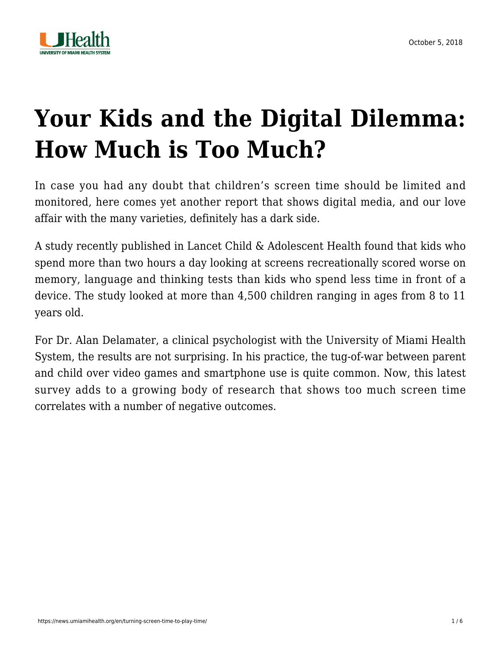

# **[Your Kids and the Digital Dilemma:](https://news.umiamihealth.org/en/turning-screen-time-to-play-time/) [How Much is Too Much?](https://news.umiamihealth.org/en/turning-screen-time-to-play-time/)**

In case you had any doubt that children's screen time should be limited and monitored, here comes yet another report that shows digital media, and our love affair with the many varieties, definitely has a dark side.

A study recently published in Lancet Child & Adolescent Health found that kids who spend more than two hours a day looking at screens recreationally scored worse on memory, language and thinking tests than kids who spend less time in front of a device. The study looked at more than 4,500 children ranging in ages from 8 to 11 years old.

For [Dr. Alan Delamater,](https://doctors.umiamihealth.org/provider/Alan+M+Delamater/525993?unified=Dr.%20Alan%20Delamater&sort=relevance&tt=424ef67b-4bf2-457a-a21e-f3283607592f&ut=ff55e13c-7b95-4329-8693-38c83093d7ac×tamp=2018-10-05T13%3A25%3A09.311Z) a clinical psychologist with the University of Miami Health System, the results are not surprising. In his practice, the tug-of-war between parent and child over video games and smartphone use is quite common. Now, this latest survey adds to a growing body of research that shows too much screen time correlates with a number of negative outcomes.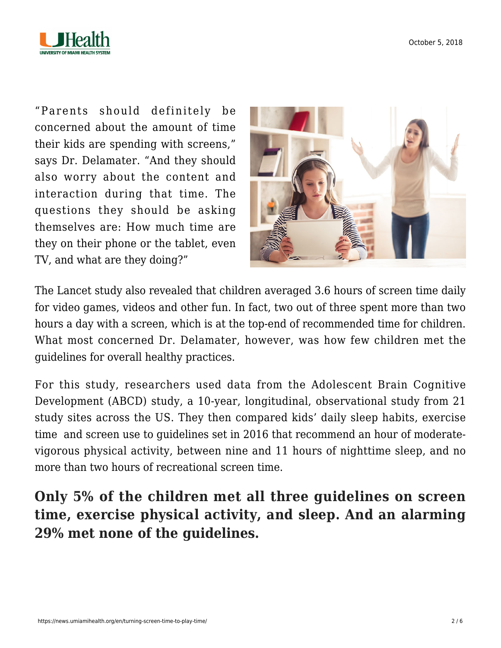

"Parents should definitely be concerned about the amount of time their kids are spending with screens," says Dr. Delamater. "And they should also worry about the content and interaction during that time. The questions they should be asking themselves are: How much time are they on their phone or the tablet, even TV, and what are they doing?"



The Lancet study also revealed that children averaged 3.6 hours of screen time daily for video games, videos and other fun. In fact, two out of three spent more than two hours a day with a screen, which is at the top-end of recommended time for children. What most concerned Dr. Delamater, however, was how few children met the guidelines for overall healthy practices.

For this study, researchers used data from the Adolescent Brain Cognitive Development (ABCD) study, a 10-year, longitudinal, observational study from 21 study sites across the US. They then compared kids' daily sleep habits, exercise time and screen use to guidelines set in 2016 that recommend an hour of moderatevigorous physical activity, between nine and 11 hours of nighttime sleep, and no more than two hours of recreational screen time.

**Only 5% of the children met all three guidelines on screen time, exercise physical activity, and sleep. And an alarming 29% met none of the guidelines.**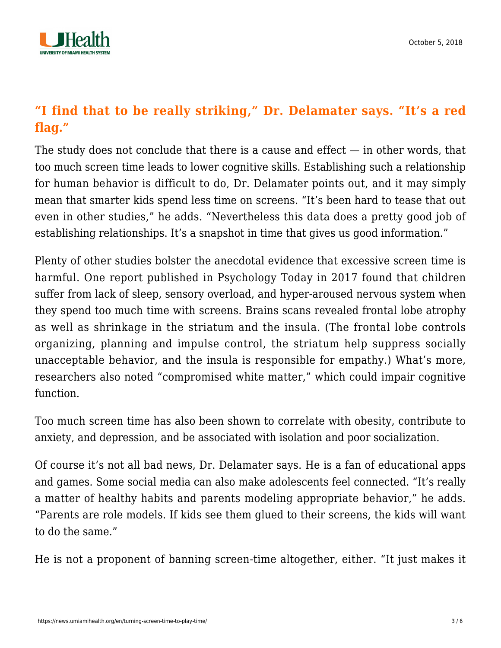

#### **"I find that to be really striking," Dr. Delamater says. "It's a red flag."**

The study does not conclude that there is a cause and effect  $-$  in other words, that too much screen time leads to lower cognitive skills. Establishing such a relationship for human behavior is difficult to do, Dr. Delamater points out, and it may simply mean that smarter kids spend less time on screens. "It's been hard to tease that out even in other studies," he adds. "Nevertheless this data does a pretty good job of establishing relationships. It's a snapshot in time that gives us good information."

Plenty of other studies bolster the anecdotal evidence that excessive screen time is harmful. One report published in Psychology Today in 2017 found that children suffer from lack of sleep, sensory overload, and hyper-aroused nervous system when they spend too much time with screens. Brains scans revealed frontal lobe atrophy as well as shrinkage in the striatum and the insula. (The frontal lobe controls organizing, planning and impulse control, the striatum help suppress socially unacceptable behavior, and the insula is responsible for empathy.) What's more, researchers also noted "compromised white matter," which could impair cognitive function.

Too much screen time has also been shown to correlate with obesity, contribute to anxiety, and depression, and be associated with isolation and poor socialization.

Of course it's not all bad news, Dr. Delamater says. He is a fan of educational apps and games. Some social media can also make adolescents feel connected. "It's really a matter of healthy habits and parents modeling appropriate behavior," he adds. "Parents are role models. If kids see them glued to their screens, the kids will want to do the same."

He is not a proponent of banning screen-time altogether, either. "It just makes it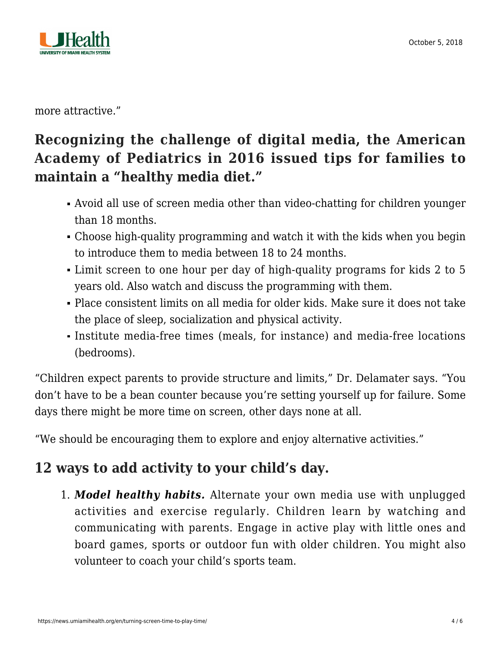

more attractive."

### **Recognizing the challenge of digital media, the American Academy of Pediatrics in 2016 issued tips for families to maintain a "healthy media diet."**

- Avoid all use of screen media other than video-chatting for children younger than 18 months.
- Choose high-quality programming and watch it with the kids when you begin to introduce them to media between 18 to 24 months.
- Limit screen to one hour per day of high-quality programs for kids 2 to 5 years old. Also watch and discuss the programming with them.
- Place consistent limits on all media for older kids. Make sure it does not take the place of sleep, socialization and physical activity.
- Institute media-free times (meals, for instance) and media-free locations (bedrooms).

"Children expect parents to provide structure and limits," Dr. Delamater says. "You don't have to be a bean counter because you're setting yourself up for failure. Some days there might be more time on screen, other days none at all.

"We should be encouraging them to explore and enjoy alternative activities."

## **12 ways to add activity to your child's day.**

1. *Model healthy habits.* Alternate your own media use with unplugged activities and exercise regularly. Children learn by watching and communicating with parents. Engage in active play with little ones and board games, sports or outdoor fun with older children. You might also volunteer to coach your child's sports team.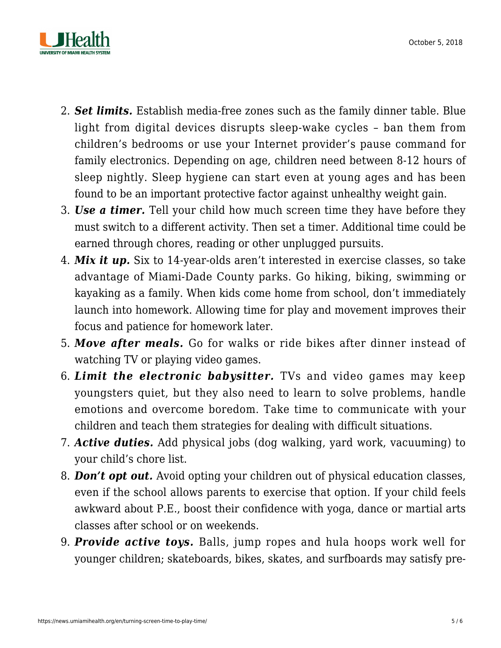

- 2. *Set limits.* Establish media-free zones such as the family dinner table. [Blue](https://na01.safelinks.protection.outlook.com/?url=https%3A%2F%2Fnews.umiamihealth.org%2Fen%2Flutein-love-it-or-leave-it%2F&data=02%7C01%7Csmessiah%40med.miami.edu%7Cf334035372304607b87308d59a3b25cb%7C2a144b72f23942d48c0e6f0f17c48e33%7C0%7C1%7C636584501195271490&sdata=4OpF7rULuG9iETcpR8WviQF32DwFHdcIPTh6uJ8qglc%3D&reserved=0) [light](https://na01.safelinks.protection.outlook.com/?url=https%3A%2F%2Fnews.umiamihealth.org%2Fen%2Flutein-love-it-or-leave-it%2F&data=02%7C01%7Csmessiah%40med.miami.edu%7Cf334035372304607b87308d59a3b25cb%7C2a144b72f23942d48c0e6f0f17c48e33%7C0%7C1%7C636584501195271490&sdata=4OpF7rULuG9iETcpR8WviQF32DwFHdcIPTh6uJ8qglc%3D&reserved=0) from digital devices disrupts sleep-wake cycles – ban them from children's bedrooms or use your Internet provider's pause command for family electronics. Depending on age, children need between 8-12 hours of sleep nightly. Sleep hygiene can start even at young ages and has been found to be an important protective factor against unhealthy weight gain.
- 3. *Use a timer.* Tell your child how much screen time they have before they must switch to a different activity. Then set a timer. Additional time could be earned through chores, reading or other unplugged pursuits.
- 4. *Mix it up.* Six to 14-year-olds aren't interested in exercise classes, so take advantage of Miami-Dade County parks. Go hiking, biking, swimming or kayaking as a family. When kids come home from school, don't immediately launch into homework. Allowing time for play and movement improves their focus and patience for homework later.
- 5. *Move after meals.* Go for walks or ride bikes after dinner instead of watching TV or playing video games.
- 6. *Limit the electronic babysitter.* TVs and video games may keep youngsters quiet, but they also need to learn to solve problems, handle emotions and overcome boredom. Take time to communicate with your children and teach them strategies for dealing with difficult situations.
- 7. *Active duties.* Add physical jobs (dog walking, yard work, vacuuming) to your child's chore list.
- 8. *Don't opt out.* Avoid opting your children out of physical education classes, even if the school allows parents to exercise that option. If your child feels awkward about P.E., boost their confidence with yoga, dance or martial arts classes after school or on weekends.
- 9. *Provide active toys.* Balls, jump ropes and hula hoops work well for younger children; skateboards, bikes, skates, and surfboards may satisfy pre-